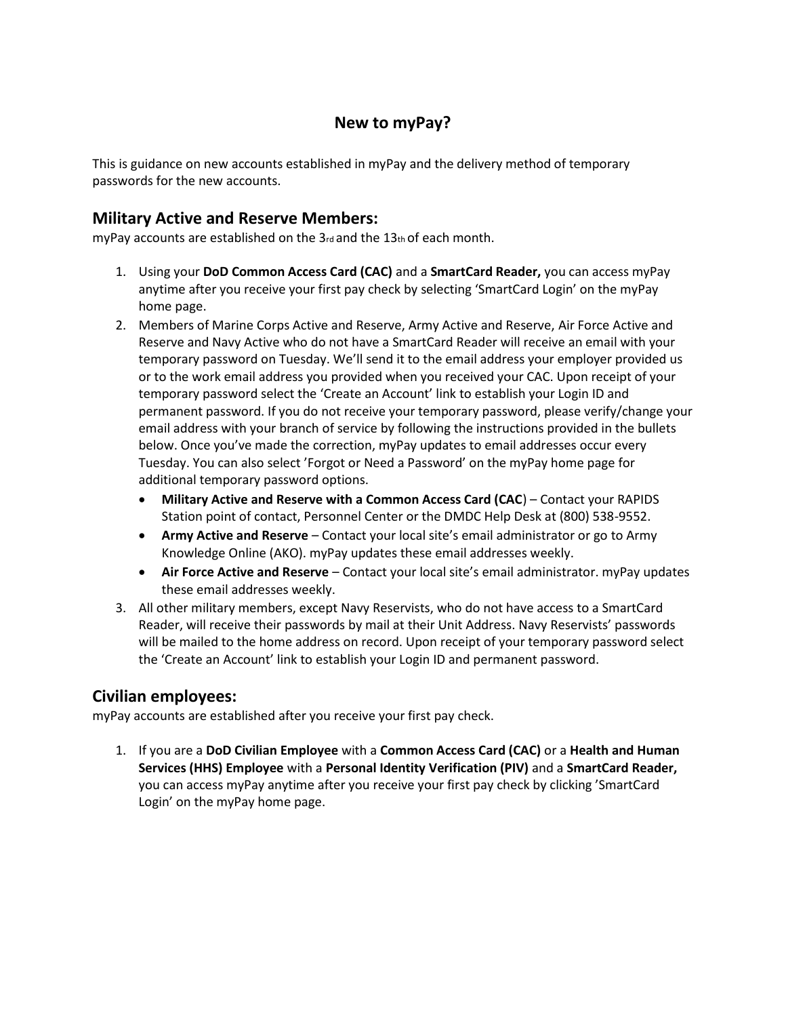# **New to myPay?**

This is guidance on new accounts established in myPay and the delivery method of temporary passwords for the new accounts.

### **Military Active and Reserve Members:**

myPay accounts are established on the 3rd and the 13th of each month.

- 1. Using your **DoD Common Access Card (CAC)** and a **SmartCard Reader,** you can access myPay anytime after you receive your first pay check by selecting 'SmartCard Login' on the myPay home page.
- 2. Members of Marine Corps Active and Reserve, Army Active and Reserve, Air Force Active and Reserve and Navy Active who do not have a SmartCard Reader will receive an email with your temporary password on Tuesday. We'll send it to the email address your employer provided us or to the work email address you provided when you received your CAC. Upon receipt of your temporary password select the 'Create an Account' link to establish your Login ID and permanent password. If you do not receive your temporary password, please verify/change your email address with your branch of service by following the instructions provided in the bullets below. Once you've made the correction, myPay updates to email addresses occur every Tuesday. You can also select 'Forgot or Need a Password' on the myPay home page for additional temporary password options.
	- **Military Active and Reserve with a Common Access Card (CAC**) Contact your RAPIDS Station point of contact, Personnel Center or the DMDC Help Desk at (800) 538-9552.
	- **Army Active and Reserve** Contact your local site's email administrator or go to Army Knowledge Online (AKO). myPay updates these email addresses weekly.
	- **Air Force Active and Reserve**  Contact your local site's email administrator. myPay updates these email addresses weekly.
- 3. All other military members, except Navy Reservists, who do not have access to a SmartCard Reader, will receive their passwords by mail at their Unit Address. Navy Reservists' passwords will be mailed to the home address on record. Upon receipt of your temporary password select the 'Create an Account' link to establish your Login ID and permanent password.

### **Civilian employees:**

myPay accounts are established after you receive your first pay check.

1. If you are a **DoD Civilian Employee** with a **Common Access Card (CAC)** or a **Health and Human Services (HHS) Employee** with a **Personal Identity Verification (PIV)** and a **SmartCard Reader,**  you can access myPay anytime after you receive your first pay check by clicking 'SmartCard Login' on the myPay home page.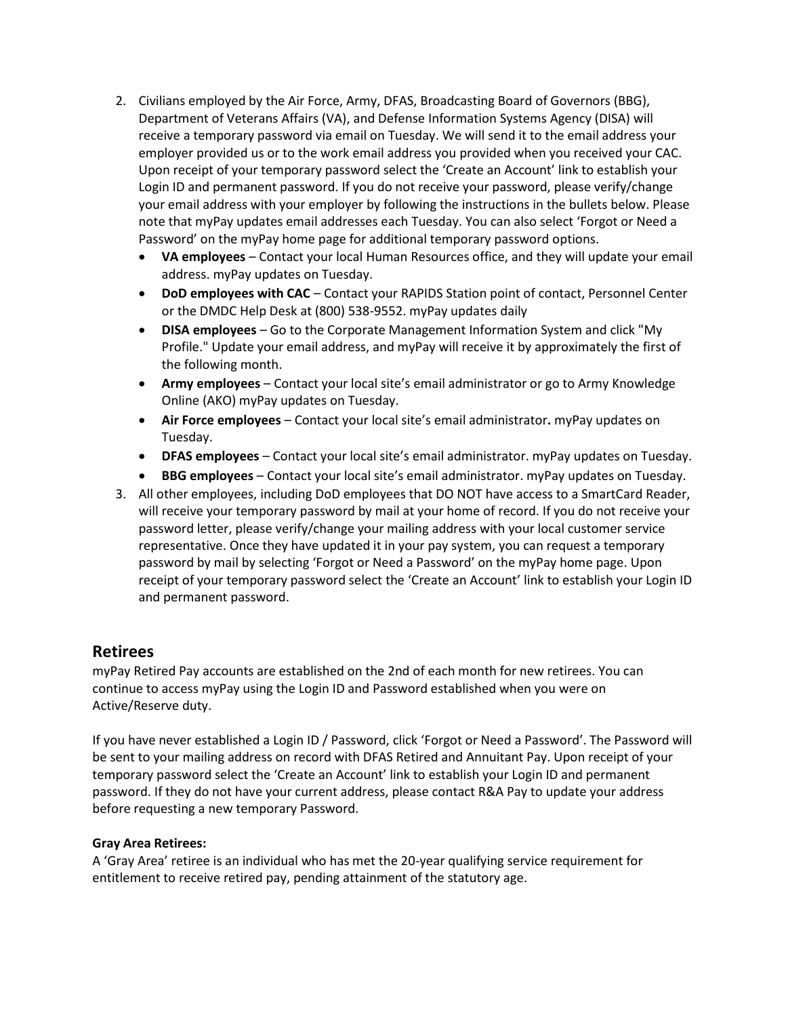- 2. Civilians employed by the Air Force, Army, DFAS, Broadcasting Board of Governors (BBG), Department of Veterans Affairs (VA), and Defense Information Systems Agency (DISA) will receive a temporary password via email on Tuesday. We will send it to the email address your employer provided us or to the work email address you provided when you received your CAC. Upon receipt of your temporary password select the 'Create an Account' link to establish your Login ID and permanent password. If you do not receive your password, please verify/change your email address with your employer by following the instructions in the bullets below. Please note that myPay updates email addresses each Tuesday. You can also select 'Forgot or Need a Password' on the myPay home page for additional temporary password options.
	- **VA employees**  Contact your local Human Resources office, and they will update your email address. myPay updates on Tuesday.
	- **DoD employees with CAC** Contact your RAPIDS Station point of contact, Personnel Center or the DMDC Help Desk at (800) 538-9552. myPay updates daily
	- **DISA employees**  Go to the Corporate Management Information System and click "My Profile." Update your email address, and myPay will receive it by approximately the first of the following month.
	- **Army employees**  Contact your local site's email administrator or go to Army Knowledge Online (AKO) myPay updates on Tuesday.
	- **Air Force employees**  Contact your local site's email administrator**.** myPay updates on Tuesday.
	- **DFAS employees**  Contact your local site's email administrator. myPay updates on Tuesday.
	- **BBG employees**  Contact your local site's email administrator. myPay updates on Tuesday.
- 3. All other employees, including DoD employees that DO NOT have access to a SmartCard Reader, will receive your temporary password by mail at your home of record. If you do not receive your password letter, please verify/change your mailing address with your local customer service representative. Once they have updated it in your pay system, you can request a temporary password by mail by selecting 'Forgot or Need a Password' on the myPay home page. Upon receipt of your temporary password select the 'Create an Account' link to establish your Login ID and permanent password.

### **Retirees**

myPay Retired Pay accounts are established on the 2nd of each month for new retirees. You can continue to access myPay using the Login ID and Password established when you were on Active/Reserve duty.

If you have never established a Login ID / Password, click 'Forgot or Need a Password'. The Password will be sent to your mailing address on record with DFAS Retired and Annuitant Pay. Upon receipt of your temporary password select the 'Create an Account' link to establish your Login ID and permanent password. If they do not have your current address, please contact R&A Pay to update your address before requesting a new temporary Password.

#### **Gray Area Retirees:**

A 'Gray Area' retiree is an individual who has met the 20-year qualifying service requirement for entitlement to receive retired pay, pending attainment of the statutory age.